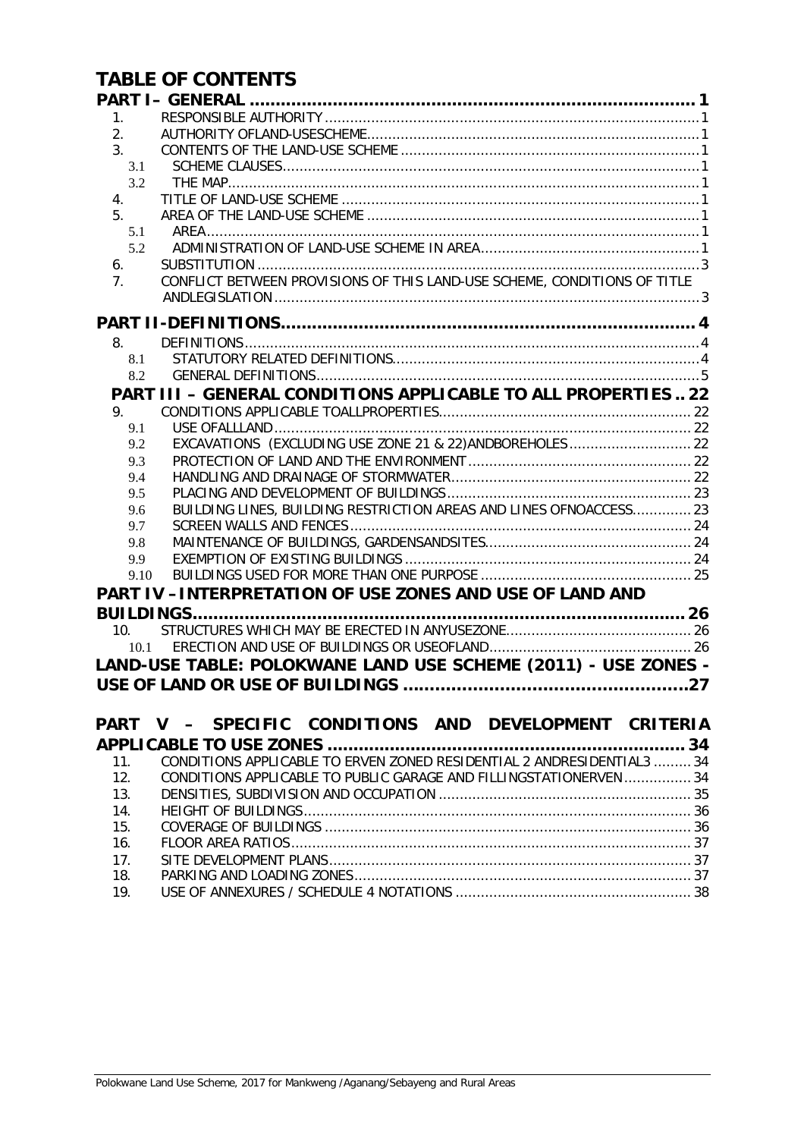## **TABLE OF CONTENTS**

|                | <b>PART I- GENERAL</b>                                                   |  |
|----------------|--------------------------------------------------------------------------|--|
| 1.             |                                                                          |  |
| 2.             |                                                                          |  |
| 3.             |                                                                          |  |
| 3.1            |                                                                          |  |
| 3.2            |                                                                          |  |
| 4.             |                                                                          |  |
| 5 <sub>1</sub> |                                                                          |  |
| 5.1            |                                                                          |  |
| 5.2            |                                                                          |  |
| 6.             |                                                                          |  |
| 7 <sub>1</sub> | CONFLICT BETWEEN PROVISIONS OF THIS LAND-USE SCHEME, CONDITIONS OF TITLE |  |
|                |                                                                          |  |
|                |                                                                          |  |
| 8.             |                                                                          |  |
| 8.1            |                                                                          |  |
| 8.2            |                                                                          |  |
|                | <b>PART III - GENERAL CONDITIONS APPLICABLE TO ALL PROPERTIES 22</b>     |  |
| 9.             |                                                                          |  |
| 9.1            |                                                                          |  |
| 9.2            | EXCAVATIONS (EXCLUDING USE ZONE 21 & 22) ANDBOREHOLES  22                |  |
| 9.3            |                                                                          |  |
| 9.4            |                                                                          |  |
| 9.5            |                                                                          |  |
| 9.6            | BUILDING LINES, BUILDING RESTRICTION AREAS AND LINES OFNOACCESS 23       |  |
| 9.7            |                                                                          |  |
| 9.8            |                                                                          |  |
| 9.9            |                                                                          |  |
| 9.10           |                                                                          |  |
|                | PART IV -INTERPRETATION OF USE ZONES AND USE OF LAND AND                 |  |
|                |                                                                          |  |
| 10.            |                                                                          |  |
| 10.1           |                                                                          |  |
|                | LAND-USE TABLE: POLOKWANE LAND USE SCHEME (2011) - USE ZONES -           |  |
|                |                                                                          |  |
|                |                                                                          |  |
|                | PART V - SPECIFIC CONDITIONS AND DEVELOPMENT CRITERIA                    |  |
|                |                                                                          |  |
| 11.            | CONDITIONS APPLICABLE TO ERVEN ZONED RESIDENTIAL 2 ANDRESIDENTIAL3  34   |  |
| 12.            | CONDITIONS APPLICABLE TO PUBLIC GARAGE AND FILLINGSTATIONERVEN  34       |  |
| 13.            |                                                                          |  |
| 14.            |                                                                          |  |
| 15.            |                                                                          |  |
| 16.            |                                                                          |  |
| 17.            |                                                                          |  |
| 18.            |                                                                          |  |
| 19.            |                                                                          |  |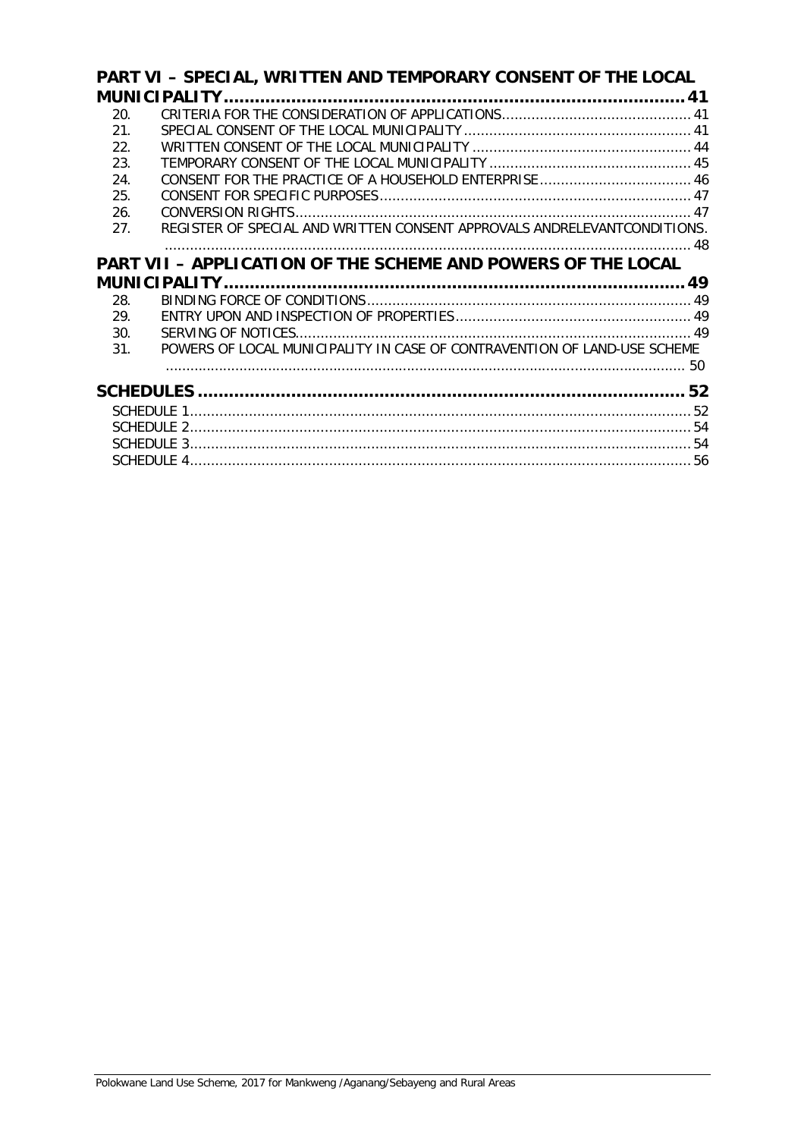| 20. |     |                                                                                                                                                                                                                                                                                              |
|-----|-----|----------------------------------------------------------------------------------------------------------------------------------------------------------------------------------------------------------------------------------------------------------------------------------------------|
| 21. |     |                                                                                                                                                                                                                                                                                              |
| 22. |     |                                                                                                                                                                                                                                                                                              |
| 23. |     |                                                                                                                                                                                                                                                                                              |
| 24. |     |                                                                                                                                                                                                                                                                                              |
| 25. |     |                                                                                                                                                                                                                                                                                              |
| 26. |     |                                                                                                                                                                                                                                                                                              |
|     |     |                                                                                                                                                                                                                                                                                              |
|     |     |                                                                                                                                                                                                                                                                                              |
|     |     |                                                                                                                                                                                                                                                                                              |
|     |     |                                                                                                                                                                                                                                                                                              |
| 28. |     |                                                                                                                                                                                                                                                                                              |
| 29. |     |                                                                                                                                                                                                                                                                                              |
| 30. |     |                                                                                                                                                                                                                                                                                              |
| 31. |     |                                                                                                                                                                                                                                                                                              |
|     |     |                                                                                                                                                                                                                                                                                              |
|     |     | 52                                                                                                                                                                                                                                                                                           |
|     |     |                                                                                                                                                                                                                                                                                              |
|     |     |                                                                                                                                                                                                                                                                                              |
|     |     |                                                                                                                                                                                                                                                                                              |
|     |     |                                                                                                                                                                                                                                                                                              |
|     | 27. | PART VI - SPECIAL, WRITTEN AND TEMPORARY CONSENT OF THE LOCAL<br>REGISTER OF SPECIAL AND WRITTEN CONSENT APPROVALS ANDRELEVANTCONDITIONS.<br><b>PART VII - APPLICATION OF THE SCHEME AND POWERS OF THE LOCAL</b><br>POWERS OF LOCAL MUNICIPALITY IN CASE OF CONTRAVENTION OF LAND-USE SCHEME |